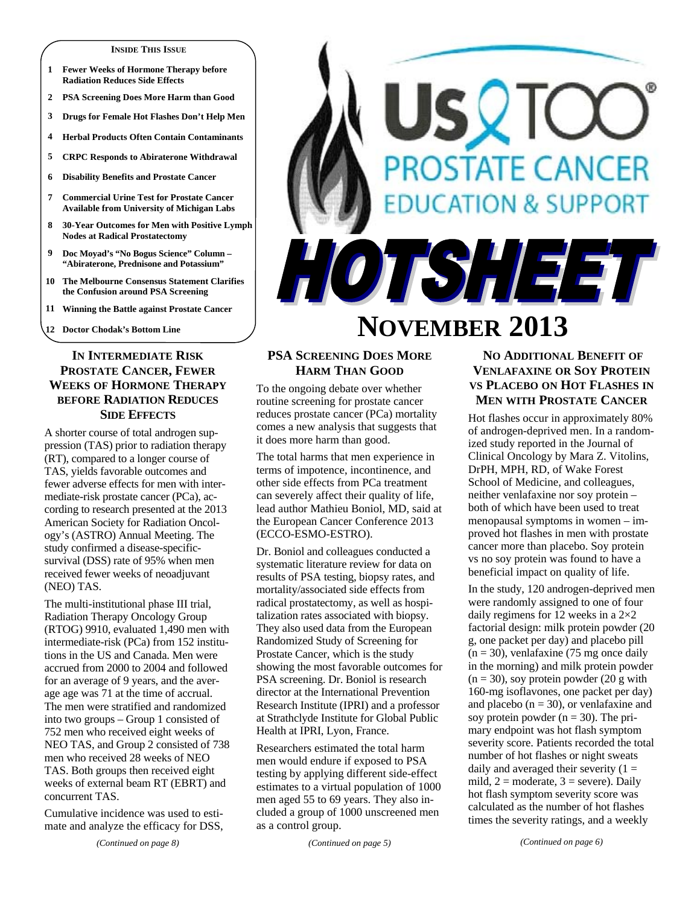#### **INSIDE THIS ISSUE**

- **1 Fewer Weeks of Hormone Therapy before Radiation Reduces Side Effects**
- **2 PSA Screening Does More Harm than Good**
- **3 Drugs for Female Hot Flashes Don't Help Men**
- **4 Herbal Products Often Contain Contaminants**
- **5 CRPC Responds to Abiraterone Withdrawal**
- **6 Disability Benefits and Prostate Cancer**
- **7 Commercial Urine Test for Prostate Cancer Available from University of Michigan Labs**
- **8 30-Year Outcomes for Men with Positive Lymph Nodes at Radical Prostatectomy**
- **9 Doc Moyad's "No Bogus Science" Column "Abiraterone, Prednisone and Potassium"**
- **10 The Melbourne Consensus Statement Clarifies the Confusion around PSA Screening**
- **11 Winning the Battle against Prostate Cancer**
- **12 Doctor Chodak's Bottom Line**

# **IN INTERMEDIATE RISK PROSTATE CANCER, FEWER WEEKS OF HORMONE THERAPY BEFORE RADIATION REDUCES SIDE EFFECTS**

A shorter course of total androgen suppression (TAS) prior to radiation therapy (RT), compared to a longer course of TAS, yields favorable outcomes and fewer adverse effects for men with intermediate-risk prostate cancer (PCa), according to research presented at the 2013 American Society for Radiation Oncology's (ASTRO) Annual Meeting. The study confirmed a disease-specificsurvival (DSS) rate of 95% when men received fewer weeks of neoadjuvant (NEO) TAS.

The multi-institutional phase III trial, Radiation Therapy Oncology Group (RTOG) 9910, evaluated 1,490 men with intermediate-risk (PCa) from 152 institutions in the US and Canada. Men were accrued from 2000 to 2004 and followed for an average of 9 years, and the average age was 71 at the time of accrual. The men were stratified and randomized into two groups – Group 1 consisted of 752 men who received eight weeks of NEO TAS, and Group 2 consisted of 738 men who received 28 weeks of NEO TAS. Both groups then received eight weeks of external beam RT (EBRT) and concurrent TAS.

Cumulative incidence was used to estimate and analyze the efficacy for DSS,

# *OSTATE CANCER* **CATION & SUPPORT** HOTSHEET

# **NOVEMBER 2013**

# **PSA SCREENING DOES MORE HARM THAN GOOD**

To the ongoing debate over whether routine screening for prostate cancer reduces prostate cancer (PCa) mortality comes a new analysis that suggests that it does more harm than good.

The total harms that men experience in terms of impotence, incontinence, and other side effects from PCa treatment can severely affect their quality of life, lead author Mathieu Boniol, MD, said at the European Cancer Conference 2013 (ECCO-ESMO-ESTRO).

Dr. Boniol and colleagues conducted a systematic literature review for data on results of PSA testing, biopsy rates, and mortality/associated side effects from radical prostatectomy, as well as hospitalization rates associated with biopsy. They also used data from the European Randomized Study of Screening for Prostate Cancer, which is the study showing the most favorable outcomes for PSA screening. Dr. Boniol is research director at the International Prevention Research Institute (IPRI) and a professor at Strathclyde Institute for Global Public Health at IPRI, Lyon, France.

Researchers estimated the total harm men would endure if exposed to PSA testing by applying different side-effect estimates to a virtual population of 1000 men aged 55 to 69 years. They also included a group of 1000 unscreened men as a control group.

*(Continued on page 5)* 

# **NO ADDITIONAL BENEFIT OF VENLAFAXINE OR SOY PROTEIN VS PLACEBO ON HOT FLASHES IN MEN WITH PROSTATE CANCER**

Hot flashes occur in approximately 80% of androgen-deprived men. In a randomized study reported in the Journal of Clinical Oncology by Mara Z. Vitolins, DrPH, MPH, RD, of Wake Forest School of Medicine, and colleagues, neither venlafaxine nor soy protein – both of which have been used to treat menopausal symptoms in women – improved hot flashes in men with prostate cancer more than placebo. Soy protein vs no soy protein was found to have a beneficial impact on quality of life.

In the study, 120 androgen-deprived men were randomly assigned to one of four daily regimens for 12 weeks in a 2×2 factorial design: milk protein powder (20 g, one packet per day) and placebo pill  $(n = 30)$ , venlafaxine (75 mg once daily in the morning) and milk protein powder  $(n = 30)$ , soy protein powder (20 g with 160-mg isoflavones, one packet per day) and placebo ( $n = 30$ ), or venlafaxine and soy protein powder ( $n = 30$ ). The primary endpoint was hot flash symptom severity score. Patients recorded the total number of hot flashes or night sweats daily and averaged their severity  $(1 =$ mild,  $2 =$  moderate,  $3 =$  severe). Daily hot flash symptom severity score was calculated as the number of hot flashes times the severity ratings, and a weekly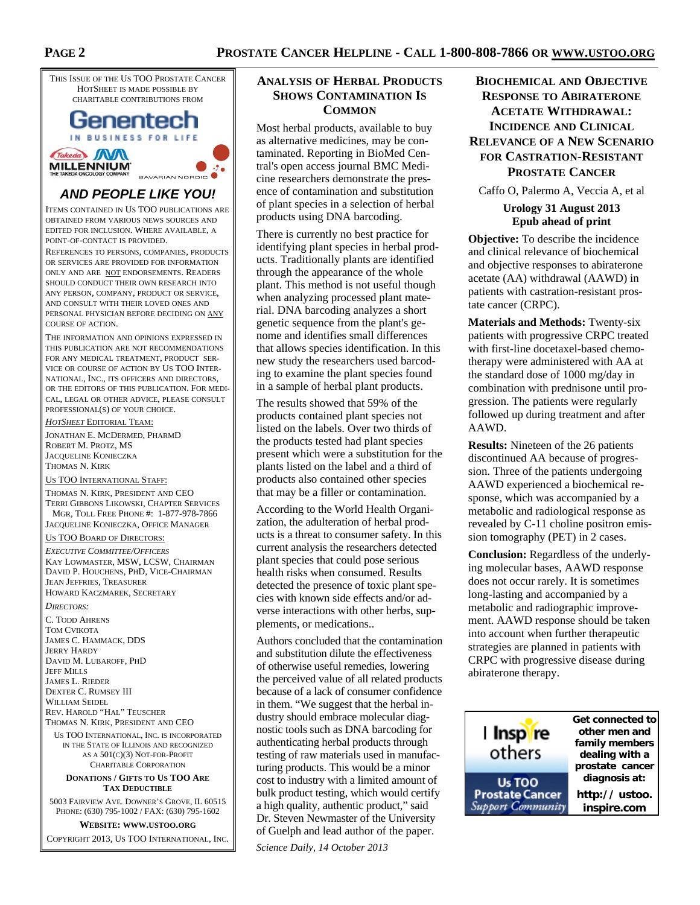

# *AND PEOPLE LIKE YOU!*

BAVARIAN NORDIC

ITEMS CONTAINED IN US TOO PUBLICATIONS ARE OBTAINED FROM VARIOUS NEWS SOURCES AND EDITED FOR INCLUSION. WHERE AVAILABLE, A POINT-OF-CONTACT IS PROVIDED.

REFERENCES TO PERSONS, COMPANIES, PRODUCTS OR SERVICES ARE PROVIDED FOR INFORMATION ONLY AND ARE NOT ENDORSEMENTS. READERS SHOULD CONDUCT THEIR OWN RESEARCH INTO ANY PERSON, COMPANY, PRODUCT OR SERVICE, AND CONSULT WITH THEIR LOVED ONES AND PERSONAL PHYSICIAN BEFORE DECIDING ON ANY COURSE OF ACTION.

THE INFORMATION AND OPINIONS EXPRESSED IN THIS PUBLICATION ARE NOT RECOMMENDATIONS FOR ANY MEDICAL TREATMENT, PRODUCT SER-VICE OR COURSE OF ACTION BY US TOO INTER-NATIONAL, INC., ITS OFFICERS AND DIRECTORS, OR THE EDITORS OF THIS PUBLICATION. FOR MEDI-CAL, LEGAL OR OTHER ADVICE, PLEASE CONSULT PROFESSIONAL(S) OF YOUR CHOICE.

*HOTSHEET* EDITORIAL TEAM:

JONATHAN E. MCDERMED, PHARMD ROBERT M. PROTZ, MS JACQUELINE KONIECZKA THOMAS N. KIRK

US TOO INTERNATIONAL STAFF:

THOMAS N. KIRK, PRESIDENT AND CEO TERRI GIBBONS LIKOWSKI, CHAPTER SERVICES MGR, TOLL FREE PHONE #: 1-877-978-7866 JACQUELINE KONIECZKA, OFFICE MANAGER

#### US TOO BOARD OF DIRECTORS:

*EXECUTIVE COMMITTEE/OFFICERS* KAY LOWMASTER, MSW, LCSW, CHAIRMAN DAVID P. HOUCHENS, PHD, VICE-CHAIRMAN JEAN JEFFRIES, TREASURER HOWARD KACZMAREK, SECRETARY

#### *DIRECTORS:*

C. TODD AHRENS TOM CVIKOTA JAMES C. HAMMACK, DDS JERRY HARDY DAVID M. LUBAROFF, PHD JEFF MILLS JAMES L. RIEDER DEXTER C. RUMSEY III WILLIAM SEIDEL REV. HAROLD "HAL" TEUSCHER THOMAS N. KIRK, PRESIDENT AND CEO

US TOO INTERNATIONAL, INC. IS INCORPORATED IN THE STATE OF ILLINOIS AND RECOGNIZED AS A 501(C)(3) NOT-FOR-PROFIT CHARITABLE CORPORATION

#### **DONATIONS / GIFTS TO US TOO ARE TAX DEDUCTIBLE**

5003 FAIRVIEW AVE. DOWNER'S GROVE, IL 60515 PHONE: (630) 795-1002 / FAX: (630) 795-1602

**WEBSITE: WWW.USTOO.ORG** COPYRIGHT 2013, US TOO INTERNATIONAL, INC.

# **ANALYSIS OF HERBAL PRODUCTS SHOWS CONTAMINATION IS COMMON**

Most herbal products, available to buy as alternative medicines, may be contaminated. Reporting in BioMed Central's open access journal BMC Medicine researchers demonstrate the presence of contamination and substitution of plant species in a selection of herbal products using DNA barcoding.

There is currently no best practice for identifying plant species in herbal products. Traditionally plants are identified through the appearance of the whole plant. This method is not useful though when analyzing processed plant material. DNA barcoding analyzes a short genetic sequence from the plant's genome and identifies small differences that allows species identification. In this new study the researchers used barcoding to examine the plant species found in a sample of herbal plant products.

The results showed that 59% of the products contained plant species not listed on the labels. Over two thirds of the products tested had plant species present which were a substitution for the plants listed on the label and a third of products also contained other species that may be a filler or contamination.

According to the World Health Organization, the adulteration of herbal products is a threat to consumer safety. In this current analysis the researchers detected plant species that could pose serious health risks when consumed. Results detected the presence of toxic plant species with known side effects and/or adverse interactions with other herbs, supplements, or medications..

Authors concluded that the contamination and substitution dilute the effectiveness of otherwise useful remedies, lowering the perceived value of all related products because of a lack of consumer confidence in them. "We suggest that the herbal industry should embrace molecular diagnostic tools such as DNA barcoding for authenticating herbal products through testing of raw materials used in manufacturing products. This would be a minor cost to industry with a limited amount of bulk product testing, which would certify a high quality, authentic product," said Dr. Steven Newmaster of the University of Guelph and lead author of the paper.

*Science Daily, 14 October 2013* 

# **BIOCHEMICAL AND OBJECTIVE RESPONSE TO ABIRATERONE ACETATE WITHDRAWAL: INCIDENCE AND CLINICAL RELEVANCE OF A NEW SCENARIO FOR CASTRATION-RESISTANT PROSTATE CANCER**

Caffo O, Palermo A, Veccia A, et al

# **Urology 31 August 2013 Epub ahead of print**

**Objective:** To describe the incidence and clinical relevance of biochemical and objective responses to abiraterone acetate (AA) withdrawal (AAWD) in patients with castration-resistant prostate cancer (CRPC).

**Materials and Methods:** Twenty-six patients with progressive CRPC treated with first-line docetaxel-based chemotherapy were administered with AA at the standard dose of 1000 mg/day in combination with prednisone until progression. The patients were regularly followed up during treatment and after AAWD.

**Results:** Nineteen of the 26 patients discontinued AA because of progression. Three of the patients undergoing AAWD experienced a biochemical response, which was accompanied by a metabolic and radiological response as revealed by C-11 choline positron emission tomography (PET) in 2 cases.

**Conclusion:** Regardless of the underlying molecular bases, AAWD response does not occur rarely. It is sometimes long-lasting and accompanied by a metabolic and radiographic improvement. AAWD response should be taken into account when further therapeutic strategies are planned in patients with CRPC with progressive disease during abiraterone therapy.

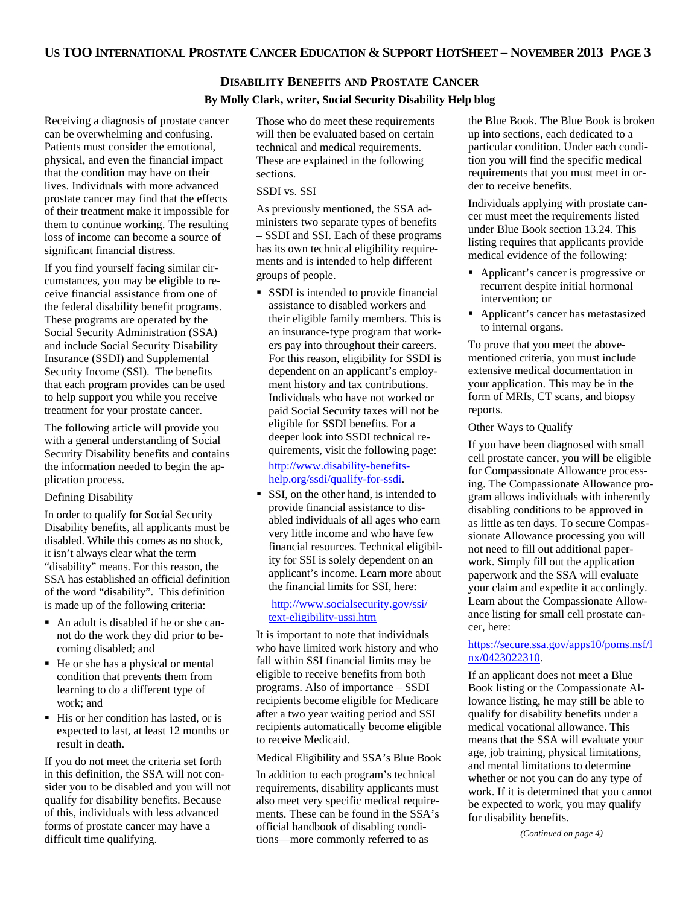# **DISABILITY BENEFITS AND PROSTATE CANCER**

# **By Molly Clark, writer, Social Security Disability Help blog**

Receiving a diagnosis of prostate cancer can be overwhelming and confusing. Patients must consider the emotional, physical, and even the financial impact that the condition may have on their lives. Individuals with more advanced prostate cancer may find that the effects of their treatment make it impossible for them to continue working. The resulting loss of income can become a source of significant financial distress.

If you find yourself facing similar circumstances, you may be eligible to receive financial assistance from one of the federal disability benefit programs. These programs are operated by the Social Security Administration (SSA) and include Social Security Disability Insurance (SSDI) and Supplemental Security Income (SSI). The benefits that each program provides can be used to help support you while you receive treatment for your prostate cancer.

The following article will provide you with a general understanding of Social Security Disability benefits and contains the information needed to begin the application process.

#### Defining Disability

In order to qualify for Social Security Disability benefits, all applicants must be disabled. While this comes as no shock, it isn't always clear what the term "disability" means. For this reason, the SSA has established an official definition of the word "disability". This definition is made up of the following criteria:

- An adult is disabled if he or she cannot do the work they did prior to becoming disabled; and
- He or she has a physical or mental condition that prevents them from learning to do a different type of work; and
- His or her condition has lasted, or is expected to last, at least 12 months or result in death.

If you do not meet the criteria set forth in this definition, the SSA will not consider you to be disabled and you will not qualify for disability benefits. Because of this, individuals with less advanced forms of prostate cancer may have a difficult time qualifying.

Those who do meet these requirements will then be evaluated based on certain technical and medical requirements. These are explained in the following sections.

# SSDI vs. SSI

As previously mentioned, the SSA administers two separate types of benefits – SSDI and SSI. Each of these programs has its own technical eligibility requirements and is intended to help different groups of people.

- SSDI is intended to provide financial assistance to disabled workers and their eligible family members. This is an insurance-type program that workers pay into throughout their careers. For this reason, eligibility for SSDI is dependent on an applicant's employment history and tax contributions. Individuals who have not worked or paid Social Security taxes will not be eligible for SSDI benefits. For a deeper look into SSDI technical requirements, visit the following page: [http://www.disability-benefits](http://www.disability-benefits-help.org/ssdi/qualify-for-ssdi)[help.org/ssdi/qualify-for-ssdi](http://www.disability-benefits-help.org/ssdi/qualify-for-ssdi).
- SSI, on the other hand, is intended to provide financial assistance to disabled individuals of all ages who earn very little income and who have few financial resources. Technical eligibility for SSI is solely dependent on an applicant's income. Learn more about the financial limits for SSI, here:

# [http://www.socialsecurity.gov/ssi/](http://www.socialsecurity.gov/ssi/text-eligibility-ussi.htm) [text-eligibility-ussi.htm](http://www.socialsecurity.gov/ssi/text-eligibility-ussi.htm)

It is important to note that individuals who have limited work history and who fall within SSI financial limits may be eligible to receive benefits from both programs. Also of importance – SSDI recipients become eligible for Medicare after a two year waiting period and SSI recipients automatically become eligible to receive Medicaid.

# Medical Eligibility and SSA's Blue Book

In addition to each program's technical requirements, disability applicants must also meet very specific medical requirements. These can be found in the SSA's official handbook of disabling conditions—more commonly referred to as

the Blue Book. The Blue Book is broken up into sections, each dedicated to a particular condition. Under each condition you will find the specific medical requirements that you must meet in order to receive benefits.

Individuals applying with prostate cancer must meet the requirements listed under Blue Book section 13.24. This listing requires that applicants provide medical evidence of the following:

- Applicant's cancer is progressive or recurrent despite initial hormonal intervention; or
- **Applicant's cancer has metastasized** to internal organs.

To prove that you meet the abovementioned criteria, you must include extensive medical documentation in your application. This may be in the form of MRIs, CT scans, and biopsy reports.

# Other Ways to Qualify

If you have been diagnosed with small cell prostate cancer, you will be eligible for Compassionate Allowance processing. The Compassionate Allowance program allows individuals with inherently disabling conditions to be approved in as little as ten days. To secure Compassionate Allowance processing you will not need to fill out additional paperwork. Simply fill out the application paperwork and the SSA will evaluate your claim and expedite it accordingly. Learn about the Compassionate Allowance listing for small cell prostate cancer, here:

# [https://secure.ssa.gov/apps10/poms.nsf/l](https://secure.ssa.gov/apps10/poms.nsf/lnx/0423022310) [nx/0423022310](https://secure.ssa.gov/apps10/poms.nsf/lnx/0423022310).

If an applicant does not meet a Blue Book listing or the Compassionate Allowance listing, he may still be able to qualify for disability benefits under a medical vocational allowance. This means that the SSA will evaluate your age, job training, physical limitations, and mental limitations to determine whether or not you can do any type of work. If it is determined that you cannot be expected to work, you may qualify for disability benefits.

*(Continued on page 4)*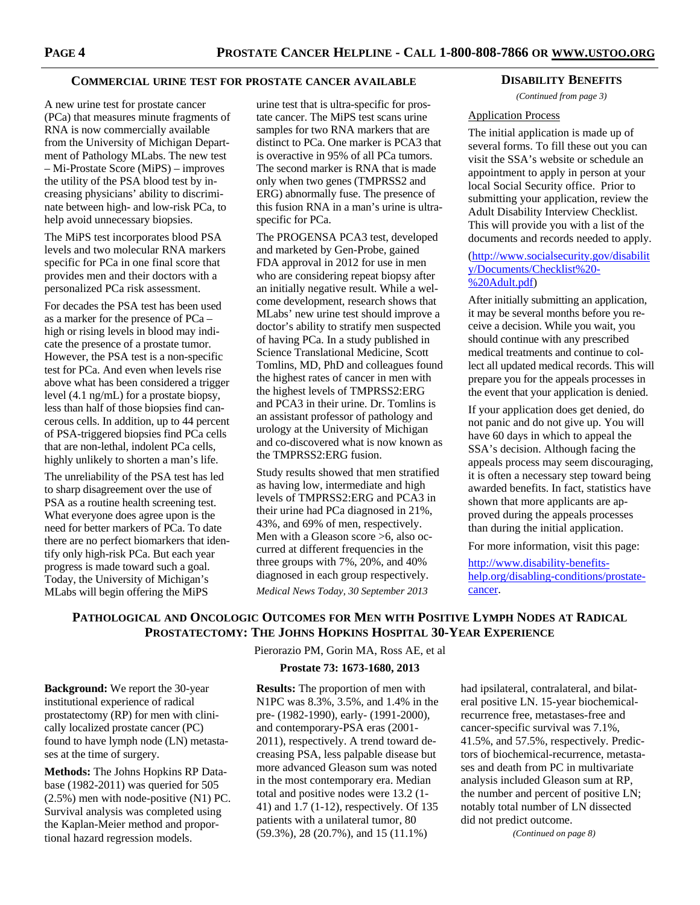## **COMMERCIAL URINE TEST FOR PROSTATE CANCER AVAILABLE**

A new urine test for prostate cancer (PCa) that measures minute fragments of RNA is now commercially available from the University of Michigan Department of Pathology MLabs. The new test – Mi-Prostate Score (MiPS) – improves the utility of the PSA blood test by increasing physicians' ability to discriminate between high- and low-risk PCa, to help avoid unnecessary biopsies.

The MiPS test incorporates blood PSA levels and two molecular RNA markers specific for PCa in one final score that provides men and their doctors with a personalized PCa risk assessment.

For decades the PSA test has been used as a marker for the presence of PCa – high or rising levels in blood may indicate the presence of a prostate tumor. However, the PSA test is a non-specific test for PCa. And even when levels rise above what has been considered a trigger level (4.1 ng/mL) for a prostate biopsy, less than half of those biopsies find cancerous cells. In addition, up to 44 percent of PSA-triggered biopsies find PCa cells that are non-lethal, indolent PCa cells, highly unlikely to shorten a man's life.

The unreliability of the PSA test has led to sharp disagreement over the use of PSA as a routine health screening test. What everyone does agree upon is the need for better markers of PCa. To date there are no perfect biomarkers that identify only high-risk PCa. But each year progress is made toward such a goal. Today, the University of Michigan's MLabs will begin offering the MiPS

*(Continued from page 3)* urine test that is ultra-specific for prostate cancer. The MiPS test scans urine samples for two RNA markers that are distinct to PCa. One marker is PCA3 that is overactive in 95% of all PCa tumors. The second marker is RNA that is made only when two genes (TMPRSS2 and ERG) abnormally fuse. The presence of this fusion RNA in a man's urine is ultraspecific for PCa.

The PROGENSA PCA3 test, developed and marketed by Gen-Probe, gained FDA approval in 2012 for use in men who are considering repeat biopsy after an initially negative result. While a welcome development, research shows that MLabs' new urine test should improve a doctor's ability to stratify men suspected of having PCa. In a study published in Science Translational Medicine, Scott Tomlins, MD, PhD and colleagues found the highest rates of cancer in men with the highest levels of TMPRSS2:ERG and PCA3 in their urine. Dr. Tomlins is an assistant professor of pathology and urology at the University of Michigan and co-discovered what is now known as the TMPRSS2:ERG fusion.

Study results showed that men stratified as having low, intermediate and high levels of TMPRSS2:ERG and PCA3 in their urine had PCa diagnosed in 21%, 43%, and 69% of men, respectively. Men with a Gleason score >6, also occurred at different frequencies in the three groups with 7%, 20%, and 40% diagnosed in each group respectively.

*Medical News Today, 30 September 2013* 

#### **DISABILITY BENEFITS**

#### Application Process

The initial application is made up of several forms. To fill these out you can visit the SSA's website or schedule an appointment to apply in person at your local Social Security office. Prior to submitting your application, review the Adult Disability Interview Checklist. This will provide you with a list of the documents and records needed to apply.

# [\(http://www.socialsecurity.gov/disabilit](http://www.socialsecurity.gov/disability/Documents/Checklist%20-%20Adult.pdf) [y/Documents/Checklist%20-](http://www.socialsecurity.gov/disability/Documents/Checklist%20-%20Adult.pdf) [%20Adult.pdf](http://www.socialsecurity.gov/disability/Documents/Checklist%20-%20Adult.pdf))

After initially submitting an application, it may be several months before you receive a decision. While you wait, you should continue with any prescribed medical treatments and continue to collect all updated medical records. This will prepare you for the appeals processes in the event that your application is denied.

If your application does get denied, do not panic and do not give up. You will have 60 days in which to appeal the SSA's decision. Although facing the appeals process may seem discouraging, it is often a necessary step toward being awarded benefits. In fact, statistics have shown that more applicants are approved during the appeals processes than during the initial application.

For more information, visit this page:

[http://www.disability-benefits](http://www.disability-benefits-help.org/disabling-conditions/prostate-cancer)[help.org/disabling-conditions/prostate](http://www.disability-benefits-help.org/disabling-conditions/prostate-cancer)[cancer](http://www.disability-benefits-help.org/disabling-conditions/prostate-cancer).

# **PATHOLOGICAL AND ONCOLOGIC OUTCOMES FOR MEN WITH POSITIVE LYMPH NODES AT RADICAL PROSTATECTOMY: THE JOHNS HOPKINS HOSPITAL 30-YEAR EXPERIENCE**

Pierorazio PM, Gorin MA, Ross AE, et al

# **Prostate 73: 1673-1680, 2013**

**Background:** We report the 30-year institutional experience of radical prostatectomy (RP) for men with clinically localized prostate cancer (PC) found to have lymph node (LN) metastases at the time of surgery.

**Methods:** The Johns Hopkins RP Database (1982-2011) was queried for 505 (2.5%) men with node-positive (N1) PC. Survival analysis was completed using the Kaplan-Meier method and proportional hazard regression models.

**Results:** The proportion of men with N1PC was 8.3%, 3.5%, and 1.4% in the pre- (1982-1990), early- (1991-2000), and contemporary-PSA eras (2001- 2011), respectively. A trend toward decreasing PSA, less palpable disease but more advanced Gleason sum was noted in the most contemporary era. Median total and positive nodes were 13.2 (1- 41) and 1.7 (1-12), respectively. Of 135 patients with a unilateral tumor, 80 (59.3%), 28 (20.7%), and 15 (11.1%)

had ipsilateral, contralateral, and bilateral positive LN. 15-year biochemicalrecurrence free, metastases-free and cancer-specific survival was 7.1%, 41.5%, and 57.5%, respectively. Predictors of biochemical-recurrence, metastases and death from PC in multivariate analysis included Gleason sum at RP, the number and percent of positive LN; notably total number of LN dissected did not predict outcome.

*(Continued on page 8)*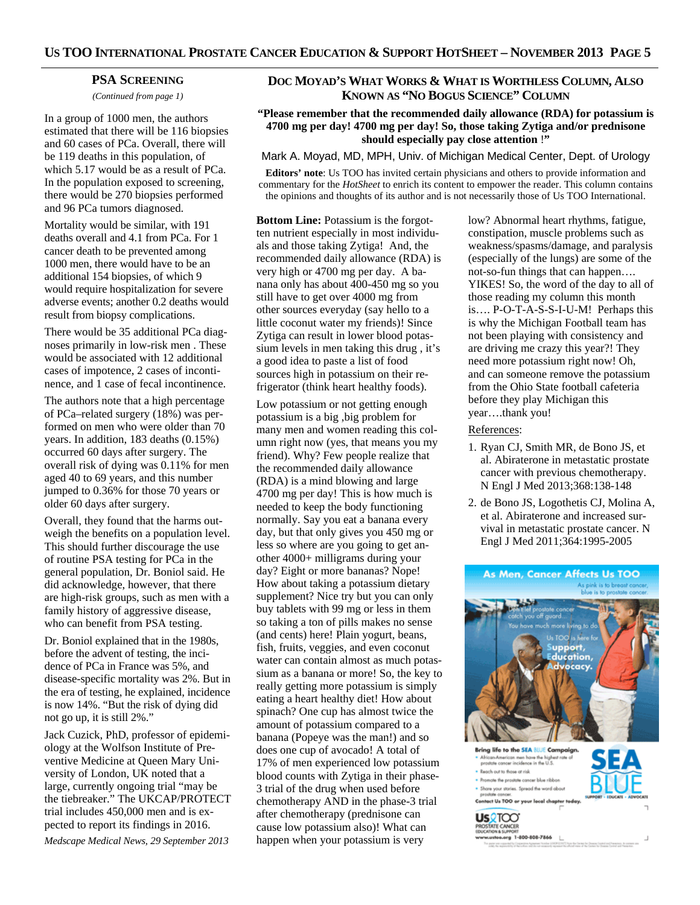# **PSA SCREENING**

*(Continued from page 1)* 

In a group of 1000 men, the authors estimated that there will be 116 biopsies and 60 cases of PCa. Overall, there will be 119 deaths in this population, of which 5.17 would be as a result of PCa. In the population exposed to screening, there would be 270 biopsies performed and 96 PCa tumors diagnosed.

Mortality would be similar, with 191 deaths overall and 4.1 from PCa. For 1 cancer death to be prevented among 1000 men, there would have to be an additional 154 biopsies, of which 9 would require hospitalization for severe adverse events; another 0.2 deaths would result from biopsy complications.

There would be 35 additional PCa diagnoses primarily in low-risk men . These would be associated with 12 additional cases of impotence, 2 cases of incontinence, and 1 case of fecal incontinence.

The authors note that a high percentage of PCa–related surgery (18%) was performed on men who were older than 70 years. In addition, 183 deaths (0.15%) occurred 60 days after surgery. The overall risk of dying was 0.11% for men aged 40 to 69 years, and this number jumped to 0.36% for those 70 years or older 60 days after surgery.

Overall, they found that the harms outweigh the benefits on a population level. This should further discourage the use of routine PSA testing for PCa in the general population, Dr. Boniol said. He did acknowledge, however, that there are high-risk groups, such as men with a family history of aggressive disease, who can benefit from PSA testing.

Dr. Boniol explained that in the 1980s, before the advent of testing, the incidence of PCa in France was 5%, and disease-specific mortality was 2%. But in the era of testing, he explained, incidence is now 14%. "But the risk of dying did not go up, it is still 2%."

Jack Cuzick, PhD, professor of epidemiology at the Wolfson Institute of Preventive Medicine at Queen Mary University of London, UK noted that a large, currently ongoing trial "may be the tiebreaker." The UKCAP/PROTECT trial includes 450,000 men and is expected to report its findings in 2016.

*Medscape Medical News, 29 September 2013* 

# **DOC MOYAD'S WHAT WORKS & WHAT IS WORTHLESS COLUMN, ALSO KNOWN AS "NO BOGUS SCIENCE" COLUMN**

## **"Please remember that the recommended daily allowance (RDA) for potassium is 4700 mg per day! 4700 mg per day! So, those taking Zytiga and/or prednisone should especially pay close attention** !**"**

Mark A. Moyad, MD, MPH, Univ. of Michigan Medical Center, Dept. of Urology

**Editors' note**: Us TOO has invited certain physicians and others to provide information and commentary for the *HotSheet* to enrich its content to empower the reader. This column contains the opinions and thoughts of its author and is not necessarily those of Us TOO International.

**Bottom Line:** Potassium is the forgotten nutrient especially in most individuals and those taking Zytiga! And, the recommended daily allowance (RDA) is very high or 4700 mg per day. A banana only has about 400-450 mg so you still have to get over 4000 mg from other sources everyday (say hello to a little coconut water my friends)! Since Zytiga can result in lower blood potassium levels in men taking this drug , it's a good idea to paste a list of food sources high in potassium on their refrigerator (think heart healthy foods).

Low potassium or not getting enough potassium is a big ,big problem for many men and women reading this column right now (yes, that means you my friend). Why? Few people realize that the recommended daily allowance (RDA) is a mind blowing and large 4700 mg per day! This is how much is needed to keep the body functioning normally. Say you eat a banana every day, but that only gives you 450 mg or less so where are you going to get another 4000+ milligrams during your day? Eight or more bananas? Nope! How about taking a potassium dietary supplement? Nice try but you can only buy tablets with 99 mg or less in them so taking a ton of pills makes no sense (and cents) here! Plain yogurt, beans, fish, fruits, veggies, and even coconut water can contain almost as much potassium as a banana or more! So, the key to really getting more potassium is simply eating a heart healthy diet! How about spinach? One cup has almost twice the amount of potassium compared to a banana (Popeye was the man!) and so does one cup of avocado! A total of 17% of men experienced low potassium blood counts with Zytiga in their phase-3 trial of the drug when used before chemotherapy AND in the phase-3 trial after chemotherapy (prednisone can cause low potassium also)! What can happen when your potassium is very

low? Abnormal heart rhythms, fatigue, constipation, muscle problems such as weakness/spasms/damage, and paralysis (especially of the lungs) are some of the not-so-fun things that can happen…. YIKES! So, the word of the day to all of those reading my column this month is…. P-O-T-A-S-S-I-U-M! Perhaps this is why the Michigan Football team has not been playing with consistency and are driving me crazy this year?! They need more potassium right now! Oh, and can someone remove the potassium from the Ohio State football cafeteria before they play Michigan this year….thank you!

## References:

- 1. Ryan CJ, Smith MR, de Bono JS, et al. Abiraterone in metastatic prostate cancer with previous chemotherapy. N Engl J Med 2013;368:138-148
- 2. de Bono JS, Logothetis CJ, Molina A, et al. Abiraterone and increased survival in metastatic prostate cancer. N Engl J Med 2011;364:1995-2005



org 1-800-808-7866 L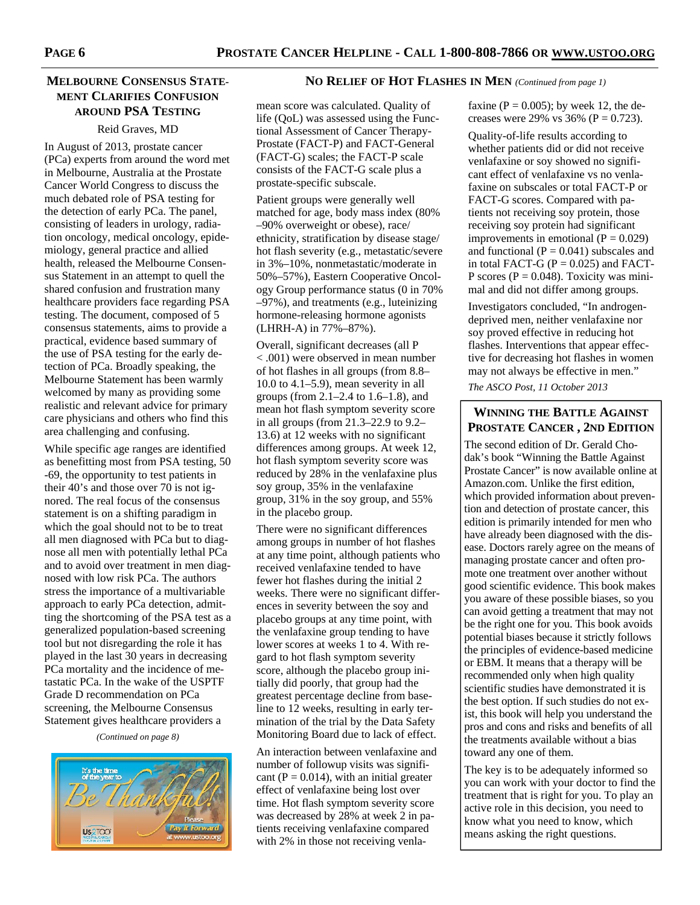# **MENT CLARIFIES CONFUSION**

# **AROUND PSA TESTING**

# Reid Graves, MD

In August of 2013, prostate cancer (PCa) experts from around the word met in Melbourne, Australia at the Prostate Cancer World Congress to discuss the much debated role of PSA testing for the detection of early PCa. The panel, consisting of leaders in urology, radiation oncology, medical oncology, epidemiology, general practice and allied health, released the Melbourne Consensus Statement in an attempt to quell the shared confusion and frustration many healthcare providers face regarding PSA testing. The document, composed of 5 consensus statements, aims to provide a practical, evidence based summary of the use of PSA testing for the early detection of PCa. Broadly speaking, the Melbourne Statement has been warmly welcomed by many as providing some realistic and relevant advice for primary care physicians and others who find this area challenging and confusing.

While specific age ranges are identified as benefitting most from PSA testing, 50 -69, the opportunity to test patients in their 40's and those over 70 is not ignored. The real focus of the consensus statement is on a shifting paradigm in which the goal should not to be to treat all men diagnosed with PCa but to diagnose all men with potentially lethal PCa and to avoid over treatment in men diagnosed with low risk PCa. The authors stress the importance of a multivariable approach to early PCa detection, admitting the shortcoming of the PSA test as a generalized population-based screening tool but not disregarding the role it has played in the last 30 years in decreasing PCa mortality and the incidence of metastatic PCa. In the wake of the USPTF Grade D recommendation on PCa screening, the Melbourne Consensus Statement gives healthcare providers a

*(Continued on page 8)* 



#### **MELBOURNE CONSENSUS STATE- NO RELIEF OF HOT FLASHES IN MEN** *(Continued from page 1)*

mean score was calculated. Quality of life (QoL) was assessed using the Functional Assessment of Cancer Therapy-Prostate (FACT-P) and FACT-General (FACT-G) scales; the FACT-P scale consists of the FACT-G scale plus a prostate-specific subscale.

Patient groups were generally well matched for age, body mass index (80% –90% overweight or obese), race/ ethnicity, stratification by disease stage/ hot flash severity (e.g., metastatic/severe in 3%–10%, nonmetastatic/moderate in 50%–57%), Eastern Cooperative Oncology Group performance status (0 in 70% –97%), and treatments (e.g., luteinizing hormone-releasing hormone agonists (LHRH-A) in 77%–87%).

Overall, significant decreases (all P < .001) were observed in mean number of hot flashes in all groups (from 8.8– 10.0 to 4.1–5.9), mean severity in all groups (from 2.1–2.4 to 1.6–1.8), and mean hot flash symptom severity score in all groups (from 21.3–22.9 to 9.2– 13.6) at 12 weeks with no significant differences among groups. At week 12, hot flash symptom severity score was reduced by 28% in the venlafaxine plus soy group, 35% in the venlafaxine group, 31% in the soy group, and 55% in the placebo group.

There were no significant differences among groups in number of hot flashes at any time point, although patients who received venlafaxine tended to have fewer hot flashes during the initial 2 weeks. There were no significant differences in severity between the soy and placebo groups at any time point, with the venlafaxine group tending to have lower scores at weeks 1 to 4. With regard to hot flash symptom severity score, although the placebo group initially did poorly, that group had the greatest percentage decline from baseline to 12 weeks, resulting in early termination of the trial by the Data Safety Monitoring Board due to lack of effect.

An interaction between venlafaxine and number of followup visits was significant ( $P = 0.014$ ), with an initial greater effect of venlafaxine being lost over time. Hot flash symptom severity score was decreased by 28% at week 2 in patients receiving venlafaxine compared with 2% in those not receiving venla-

faxine ( $P = 0.005$ ); by week 12, the decreases were 29% vs 36% ( $P = 0.723$ ).

Quality-of-life results according to whether patients did or did not receive venlafaxine or soy showed no significant effect of venlafaxine vs no venlafaxine on subscales or total FACT-P or FACT-G scores. Compared with patients not receiving soy protein, those receiving soy protein had significant improvements in emotional  $(P = 0.029)$ and functional  $(P = 0.041)$  subscales and in total FACT-G  $(P = 0.025)$  and FACT-P scores ( $P = 0.048$ ). Toxicity was minimal and did not differ among groups.

Investigators concluded, "In androgendeprived men, neither venlafaxine nor soy proved effective in reducing hot flashes. Interventions that appear effective for decreasing hot flashes in women may not always be effective in men."

*The ASCO Post, 11 October 2013* 

# **WINNING THE BATTLE AGAINST PROSTATE CANCER , 2ND EDITION**

The second edition of Dr. Gerald Chodak's book "Winning the Battle Against Prostate Cancer" is now available online at Amazon.com. Unlike the first edition, which provided information about prevention and detection of prostate cancer, this edition is primarily intended for men who have already been diagnosed with the disease. Doctors rarely agree on the means of managing prostate cancer and often promote one treatment over another without good scientific evidence. This book makes you aware of these possible biases, so you can avoid getting a treatment that may not be the right one for you. This book avoids potential biases because it strictly follows the principles of evidence-based medicine or EBM. It means that a therapy will be recommended only when high quality scientific studies have demonstrated it is the best option. If such studies do not exist, this book will help you understand the pros and cons and risks and benefits of all the treatments available without a bias toward any one of them.

The key is to be adequately informed so you can work with your doctor to find the treatment that is right for you. To play an active role in this decision, you need to know what you need to know, which means asking the right questions.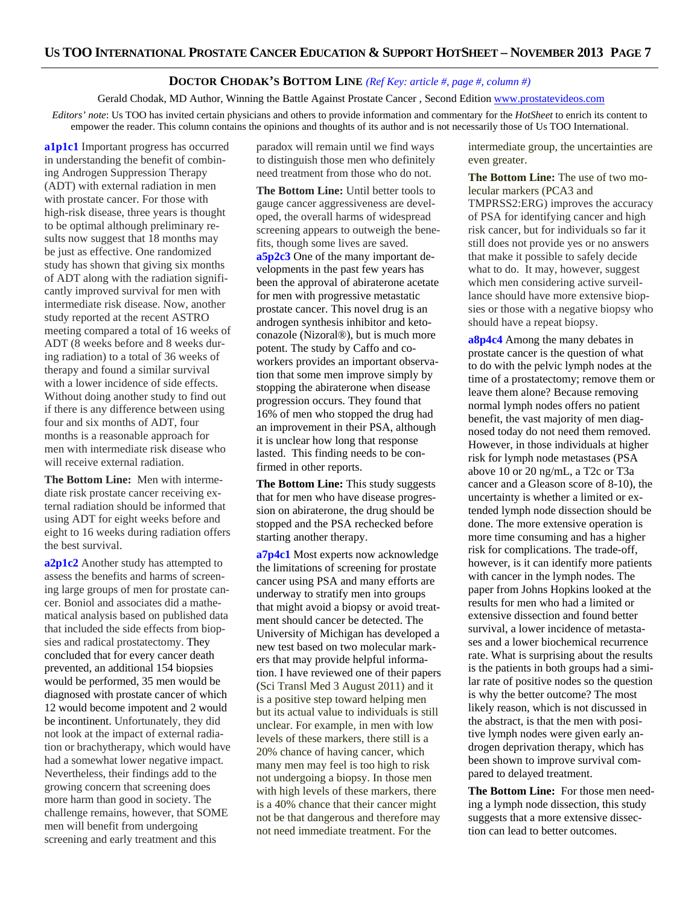# **DOCTOR CHODAK'S BOTTOM LINE** *(Ref Key: article #, page #, column #)*

Gerald Chodak, MD Author, Winning the Battle Against Prostate Cancer, Second Edition www.prostatevideos.com

*Editors' note*: Us TOO has invited certain physicians and others to provide information and commentary for the *HotSheet* to enrich its content to empower the reader. This column contains the opinions and thoughts of its author and is not necessarily those of Us TOO International.

**a1p1c1** Important progress has occurred in understanding the benefit of combining Androgen Suppression Therapy (ADT) with external radiation in men with prostate cancer. For those with high-risk disease, three years is thought to be optimal although preliminary results now suggest that 18 months may be just as effective. One randomized study has shown that giving six months of ADT along with the radiation significantly improved survival for men with intermediate risk disease. Now, another study reported at the recent ASTRO meeting compared a total of 16 weeks of ADT (8 weeks before and 8 weeks during radiation) to a total of 36 weeks of therapy and found a similar survival with a lower incidence of side effects. Without doing another study to find out if there is any difference between using four and six months of ADT, four months is a reasonable approach for men with intermediate risk disease who will receive external radiation.

**The Bottom Line:** Men with intermediate risk prostate cancer receiving external radiation should be informed that using ADT for eight weeks before and eight to 16 weeks during radiation offers the best survival.

**a2p1c2** Another study has attempted to assess the benefits and harms of screening large groups of men for prostate cancer. Boniol and associates did a mathematical analysis based on published data that included the side effects from biopsies and radical prostatectomy. They concluded that for every cancer death prevented, an additional 154 biopsies would be performed, 35 men would be diagnosed with prostate cancer of which 12 would become impotent and 2 would be incontinent. Unfortunately, they did not look at the impact of external radiation or brachytherapy, which would have had a somewhat lower negative impact. Nevertheless, their findings add to the growing concern that screening does more harm than good in society. The challenge remains, however, that SOME men will benefit from undergoing screening and early treatment and this

paradox will remain until we find ways to distinguish those men who definitely need treatment from those who do not.

**The Bottom Line:** Until better tools to gauge cancer aggressiveness are developed, the overall harms of widespread screening appears to outweigh the benefits, though some lives are saved. **a5p2c3** One of the many important developments in the past few years has been the approval of abiraterone acetate for men with progressive metastatic prostate cancer. This novel drug is an androgen synthesis inhibitor and ketoconazole (Nizoral®), but is much more potent. The study by Caffo and coworkers provides an important observation that some men improve simply by stopping the abiraterone when disease progression occurs. They found that 16% of men who stopped the drug had an improvement in their PSA, although it is unclear how long that response lasted. This finding needs to be confirmed in other reports.

**The Bottom Line:** This study suggests that for men who have disease progression on abiraterone, the drug should be stopped and the PSA rechecked before starting another therapy.

**a7p4c1** Most experts now acknowledge the limitations of screening for prostate cancer using PSA and many efforts are underway to stratify men into groups that might avoid a biopsy or avoid treatment should cancer be detected. The University of Michigan has developed a new test based on two molecular markers that may provide helpful information. I have reviewed one of their papers (Sci Transl Med 3 August 2011) and it is a positive step toward helping men but its actual value to individuals is still unclear. For example, in men with low levels of these markers, there still is a 20% chance of having cancer, which many men may feel is too high to risk not undergoing a biopsy. In those men with high levels of these markers, there is a 40% chance that their cancer might not be that dangerous and therefore may not need immediate treatment. For the

intermediate group, the uncertainties are even greater.

**The Bottom Line:** The use of two molecular markers (PCA3 and TMPRSS2:ERG) improves the accuracy of PSA for identifying cancer and high risk cancer, but for individuals so far it still does not provide yes or no answers that make it possible to safely decide what to do. It may, however, suggest which men considering active surveillance should have more extensive biopsies or those with a negative biopsy who should have a repeat biopsy.

**a8p4c4** Among the many debates in prostate cancer is the question of what to do with the pelvic lymph nodes at the time of a prostatectomy; remove them or leave them alone? Because removing normal lymph nodes offers no patient benefit, the vast majority of men diagnosed today do not need them removed. However, in those individuals at higher risk for lymph node metastases (PSA above 10 or 20 ng/mL, a T2c or T3a cancer and a Gleason score of 8-10), the uncertainty is whether a limited or extended lymph node dissection should be done. The more extensive operation is more time consuming and has a higher risk for complications. The trade-off, however, is it can identify more patients with cancer in the lymph nodes. The paper from Johns Hopkins looked at the results for men who had a limited or extensive dissection and found better survival, a lower incidence of metastases and a lower biochemical recurrence rate. What is surprising about the results is the patients in both groups had a similar rate of positive nodes so the question is why the better outcome? The most likely reason, which is not discussed in the abstract, is that the men with positive lymph nodes were given early androgen deprivation therapy, which has been shown to improve survival compared to delayed treatment.

**The Bottom Line:** For those men needing a lymph node dissection, this study suggests that a more extensive dissection can lead to better outcomes.